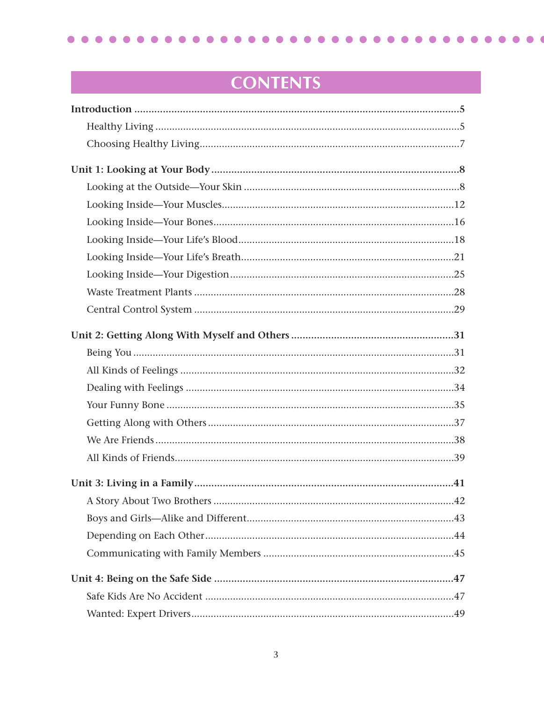$\bullet\bullet\bullet$  $\bullet$  $\bullet$  $\bullet$  $\bullet$  $\bullet$  $\bullet$  $\bullet$  $\bullet$ . . . . . . . . . . .  $\bullet$  $\bullet$  $\bullet$  $\bullet$  $\blacksquare$  $\bullet$  $\bullet$  $\bullet\bullet\bullet$  $\bullet$ 

 $\bullet$ 

C

# **CONTENTS**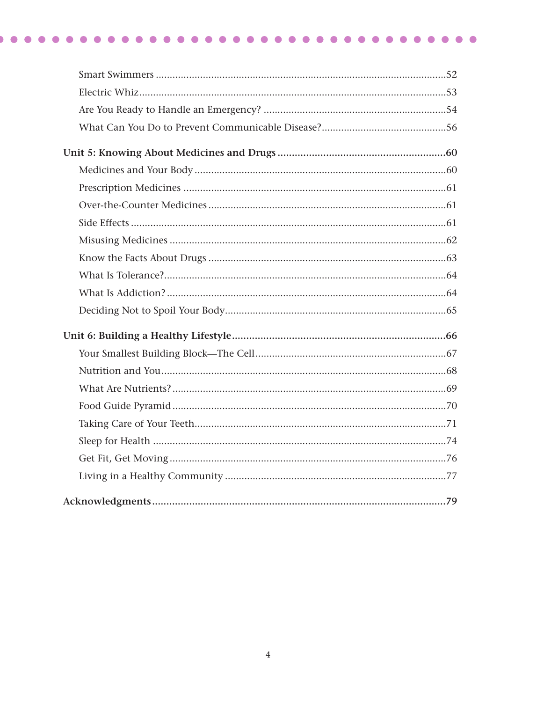##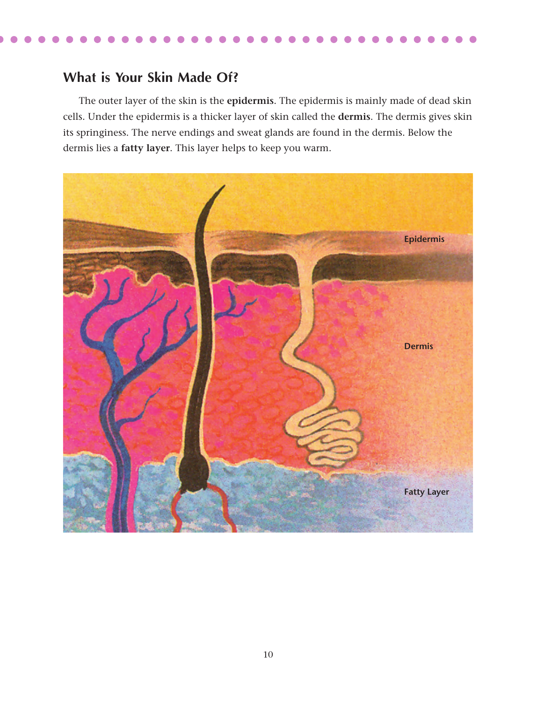### **What is Your Skin Made Of?**

The outer layer of the skin is the **epidermis**. The epidermis is mainly made of dead skin cells. Under the epidermis is a thicker layer of skin called the **dermis**. The dermis gives skin its springiness. The nerve endings and sweat glands are found in the dermis. Below the dermis lies a **fatty layer**. This layer helps to keep you warm.

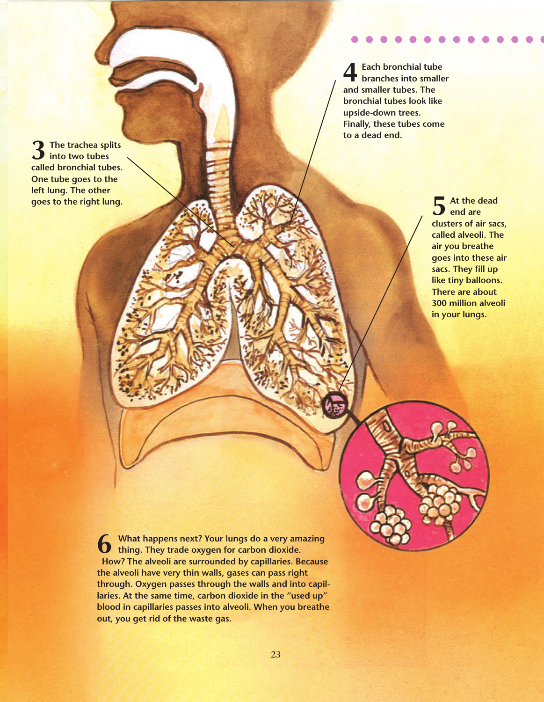**3 The trachea splits into two tubes called bronchial tubes. One tube goes to the left lung. The other goes to the right lung.**

**4Each bronchial tube branches into smaller and smaller tubes. The bronchial tubes look like upside-down trees. Finally, these tubes come to a dead end.**

> **5 At the dead end are clusters of air sacs, called alveoli. The air you breathe goes into these air sacs. They fill up like tiny balloons. There are about 300 million alveoli in your lungs.**

**6 What happens next? Your lungs do a very amazing thing. They trade oxygen for carbon dioxide. How? The alveoli are surrounded by capillaries. Because the alveoli have very thin walls, gases can pass right through. Oxygen passes through the walls and into capillaries. At the same time, carbon dioxide in the "used up" blood in capillaries passes into alveoli. When you breathe out, you get rid of the waste gas.**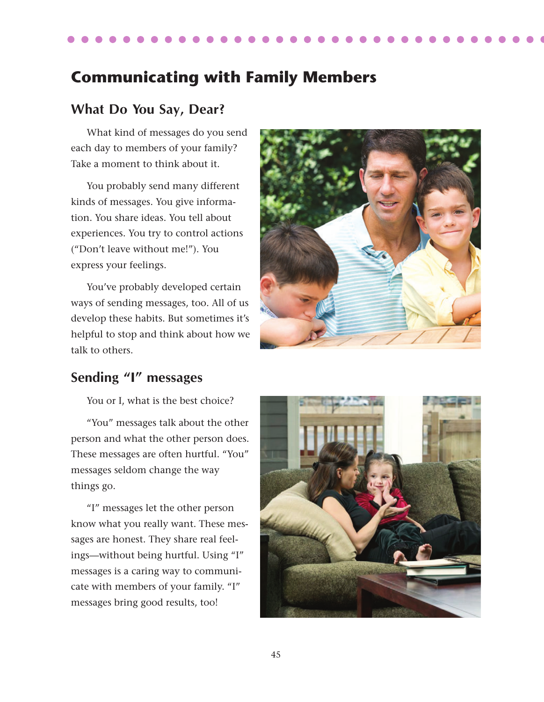## **Communicating with Family Members**

#### **What Do You Say, Dear?**

What kind of messages do you send each day to members of your family? Take a moment to think about it.

You probably send many different kinds of messages. You give information. You share ideas. You tell about experiences. You try to control actions ("Don't leave without me!"). You express your feelings.

You've probably developed certain ways of sending messages, too. All of us develop these habits. But sometimes it's helpful to stop and think about how we talk to others.



#### **Sending "I" messages**

You or I, what is the best choice?

"You" messages talk about the other person and what the other person does. These messages are often hurtful. "You" messages seldom change the way things go.

"I" messages let the other person know what you really want. These messages are honest. They share real feelings—without being hurtful. Using "I" messages is a caring way to communicate with members of your family. "I" messages bring good results, too!